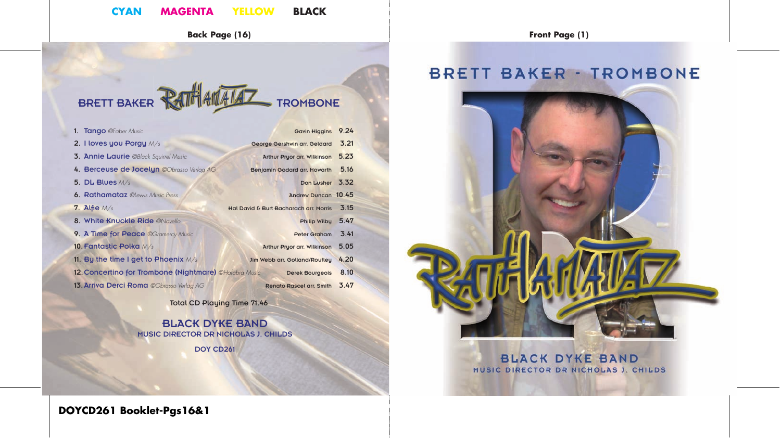### **CYAN MAGENTA YELLOW BLACK**

**Back Page (16) Front Page (1)**

# BRETT BAKER **RATHAMALAZ** TROMBONE

| <b>Gavin Higgins</b>            | 9.24                                                                                                                                                                                                                                   |
|---------------------------------|----------------------------------------------------------------------------------------------------------------------------------------------------------------------------------------------------------------------------------------|
|                                 | 3.21                                                                                                                                                                                                                                   |
| Arthur Pryor arr. Wilkinson     | 5.23                                                                                                                                                                                                                                   |
|                                 | 5.16                                                                                                                                                                                                                                   |
|                                 | 3.32                                                                                                                                                                                                                                   |
|                                 |                                                                                                                                                                                                                                        |
|                                 | 3.15                                                                                                                                                                                                                                   |
| Philip Wilby                    | 5.47                                                                                                                                                                                                                                   |
| <b>Peter Graham</b>             | 3.41                                                                                                                                                                                                                                   |
| Arthur Pryor arr. Wilkinson     | 5.05                                                                                                                                                                                                                                   |
|                                 | 4.20                                                                                                                                                                                                                                   |
| <b>Derek Bourgeois</b>          | 8.10                                                                                                                                                                                                                                   |
| <b>Renato Rascel arr. Smith</b> | 3.47                                                                                                                                                                                                                                   |
|                                 | George Gershwin arr. Geldard<br>Benjamin Godard arr. Howarth<br>Don Lusher<br>Andrew Duncan 10.45<br>Hal David & Burt Bacharach arr. Morris<br>Jim Webb arr. Golland/Routley<br>12. Concertino for Trombone (Nightmare) ©Hafabra Music |

Total CD Playing Time 71.46

BLACK DYKE BAND MUSIC DIRECTOR DR NICHOLAS J. CHILDS DOY CD261

# **BRETT BAKER - TROMBONE**



### **BLACK DYKE BAND** MUSIC DIRECTOR DR NICHOLAS J. CHILDS

**DOYCD261 Booklet-Pgs16&1**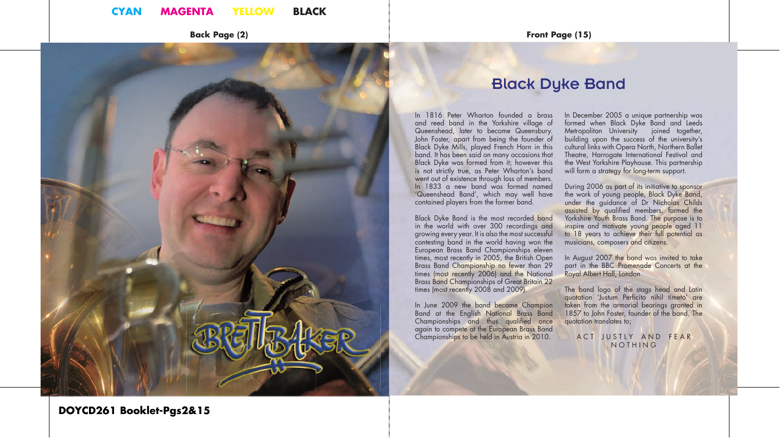

Queenshead, later to become Queensbury. John Foster, apart from being the founder of Black Dyke Mills, played French Horn in this band. It has been said on many occasions that Black Dyke was formed from it; however this is not strictly true, as Peter Wharton's band went out of existence through loss of members. In 1833 a new band was formed named 'Queenshead Band', which may well have contained players from the former band.

Black Dyke Band is the most recorded band in the world with over 300 recordings and growing every year. It is also the most successful contesting band in the world having won the European Brass Band Championships eleven times, most recently in 2005, the British Open Brass Band Championship no fewer than 29 times (most recently 2006) and the National Brass Band Championships of Great Britain 22 times (most recently 2008 and 2009).

In June 2009 the band became Champion Band at the English National Brass Band Championships and thus qualified once again to compete at the European Brass Band Championships to be held in Austria in 2010.

In December 2005 a unique partnership was formed when Black Dyke Band and Leeds Metropolitan University joined together, building upon the success of the university's cultural links with Opera North, Northern Ballet Theatre, Harrogate International Festival and the West Yorkshire Playhouse. This partnership will form a strategy for long-term support.

During 2006 as part of its initiative to sponsor the work of young people, Black Dyke Band, under the guidance of Dr Nicholas Childs assisted by qualified members, formed the Yorkshire Youth Brass Band. The purpose is to inspire and motivate young people aged 11 to 18 years to achieve their full potential as musicians, composers and citizens.

In August 2007 the band was invited to take part in the BBC Promenade Concerts at the Royal Albert Hall, London

The band logo of the stags head and Latin quotation 'Justum Perficito nihil timeto' are taken from the armorial bearings granted in 1857 to John Foster, founder of the band. The quotation translates to;

ACT JUSTLY AND FEAR **NOTHING** 

### **DOYCD261 Booklet-Pgs2&15**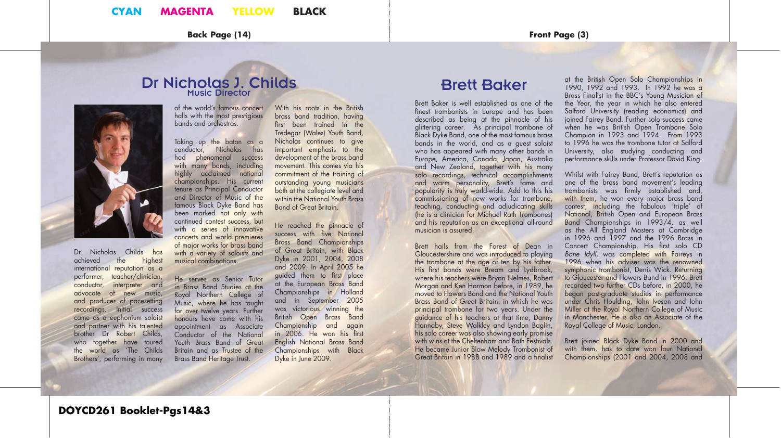**Back Page (14) Front Page (3)**

### Dr Nicholas J. Childs Music Director

of the world's famous concert halls with the most prestigious bands and orchestras.

Taking up the baton as a conductor, Nicholas has had phenomenal success with many bands, including highly acclaimed national championships. His current tenure as Principal Conductor and Director of Music of the famous Black Dyke Band has been marked not only with continued contest success, but with a series of innovative concerts and world premieres of major works for brass band with a variety of soloists and musical combinations.

international reputation as a performer, teacher/clinician, conductor, interpreter and advocate of new music, He serves as Senior Tutor in Brass Band Studies at the Royal Northern College of Music, where he has taught for over twelve years. Further honours have come with his appointment as Associate Conductor of the National Youth Brass Band of Great Britain and as Trustee of the Brass Band Heritage Trust.

brass band tradition, having first been trained in the Tredegar (Wales) Youth Band, Nicholas continues to give important emphasis to the development of the brass band movement. This comes via his commitment of the training of outstanding young musicians both at the collegiate level and within the National Youth Brass Band of Great Britain.

With his roots in the British

He reached the pinnacle of success with five National Brass Band Championships of Great Britain, with Black Dyke in 2001, 2004, 2008 and 2009. In April 2005 he guided them to first place at the European Brass Band Championships in Holland and in September 2005 was victorious winning the British Open Brass Band Championship and again in 2006. He won his first English National Brass Band Championships with Black Dyke in June 2009.

# Brett Baker

Brett Baker is well established as one of the finest trombonists in Europe and has been described as being at the pinnacle of his glittering career. As principal trombone of Black Dyke Band, one of the most famous brass bands in the world, and as a guest soloist who has appeared with many other bands in Europe, America, Canada, Japan, Australia and New Zealand, together with his many solo recordings, technical accomplishments and warm personality, Brett's fame and popularity is truly world-wide. Add to this his commissioning of new works for trombone, teaching, conducting and adjudicating skills (he is a clinician for Michael Rath Trombones) and his reputation as an exceptional all-round musician is assured.

Brett hails from the Forest of Dean in Gloucestershire and was introduced to playing the trombone at the age of ten by his father. His first bands were Bream and Lydbrook, where his teachers were Bryan Nelmes, Robert Morgan and Ken Harmon before, in 1989, he moved to Flowers Band and the National Youth Brass Band of Great Britain, in which he was principal trombone for two years. Under the guidance of his teachers at that time, Danny Hannaby, Steve Walkley and Lyndon Baglin, his solo career was also showing early promise with wins at the Cheltenham and Bath Festivals. He became Junior Slow Melody Trombonist of Great Britain in 1988 and 1989 and a finalist

at the British Open Solo Championships in 1990, 1992 and 1993. In 1992 he was a Brass Finalist in the BBC's Young Musician of the Year, the year in which he also entered Salford University (reading economics) and joined Fairey Band. Further solo success came when he was British Open Trombone Solo Champion in 1993 and 1994. From 1993 to 1996 he was the trombone tutor at Salford University, also studying conducting and performance skills under Professor David King.

Whilst with Fairey Band, Brett's reputation as one of the brass band movement's leading trombonists was firmly established and, with them, he won every major brass band contest, including the fabulous 'triple' of National, British Open and European Brass Band Championships in 1993/4, as well as the All England Masters at Cambridge in 1996 and 1997 and the 1996 Brass in Concert Championship. His first solo CD *Bone Idyll*, was completed with Faireys in 1996 when his adviser was the renowned symphonic trombonist, Denis Wick. Returning to Gloucester and Flowers Band in 1996, Brett recorded two further CDs before, in 2000, he began post-graduate studies in performance under Chris Houlding, John Iveson and John Miller at the Royal Northern College of Music in Manchester. He is also an Associate of the Royal College of Music, London.

Brett joined Black Dyke Band in 2000 and with them, has to date won four National Championships (2001 and 2004, 2008 and

and producer of pacesetting recordings. Initial success came as a euphonium soloist and partner with his talented brother Dr Robert Childs, who together have toured the world as 'The Childs Brothers', performing in many

Dr Nicholas Childs has<br>achieved the highest achieved the

**DOYCD261 Booklet-Pgs14&3**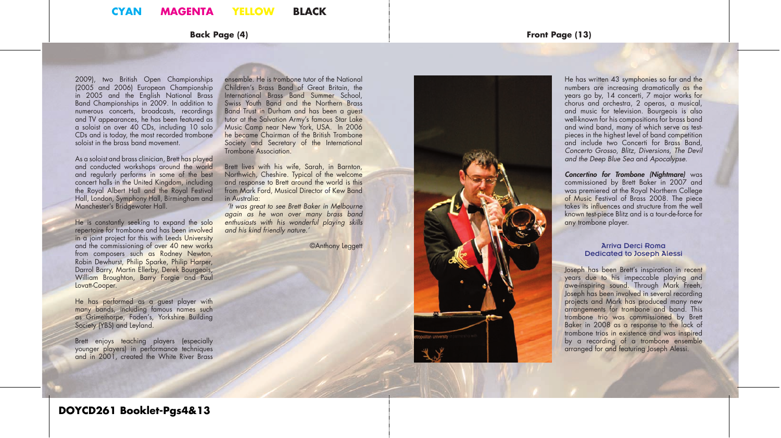### **Back Page (4) Front Page (13)**

2009), two British Open Championships (2005 and 2006) European Championship in 2005 and the English National Brass Band Championships in 2009. In addition to numerous concerts, broadcasts, recordings and TV appearances, he has been featured as a soloist on over 40 CDs, including 10 solo CDs and is today, the most recorded trombone soloist in the brass band movement.

As a soloist and brass clinician, Brett has played and conducted workshops around the world and regularly performs in some of the best concert halls in the United Kingdom, including the Royal Albert Hall and the Royal Festival Hall, London, Symphony Hall, Birmingham and Manchester's Bridgewater Hall.

He is constantly seeking to expand the solo repertoire for trombone and has been involved in a joint project for this with Leeds University and the commissioning of over 40 new works from composers such as Rodney Newton, Robin Dewhurst, Philip Sparke, Philip Harper, Darrol Barry, Martin Ellerby, Derek Bourgeois, William Broughton, Barry Forgie and Paul Lovatt-Cooper.

He has performed as a guest player with many bands, including famous names such as Grimethorpe, Foden's, Yorkshire Building Society (YBS) and Leyland.

Brett enjoys teaching players (especially younger players) in performance techniques and in 2001, created the White River Brass

ensemble. He is trombone tutor of the National Children's Brass Band of Great Britain, the International Brass Band Summer School, Swiss Youth Band and the Northern Brass Band Trust in Durham and has been a guest tutor at the Salvation Army's famous Star Lake Music Camp near New York, USA. In 2006 he became Chairman of the British Trombone Society and Secretary of the International Trombone Association.

Brett lives with his wife, Sarah, in Barnton, Northwich, Cheshire. Typical of the welcome and response to Brett around the world is this from Mark Ford, Musical Director of Kew Band in Australia:

 *'It was great to see Brett Baker in Melbourne again as he won over many brass band enthusiasts with his wonderful playing skills and his kind friendly nature.'*

©Anthony Leggett



He has written 43 symphonies so far and the numbers are increasing dramatically as the years go by, 14 concerti, 7 major works for chorus and orchestra, 2 operas, a musical, and music for television. Bourgeois is also well-known for his compositions for brass band and wind band, many of which serve as testpieces in the highest level of band competition and include two Concerti for Brass Band, *Concerto Grosso*, *Blitz, Diversions, The Devil and the Deep Blue Sea* and *Apocalypse* .

*Concertino for Trombone (Nightmare)* was commissioned by Brett Baker in 2007 and was premiered at the Royal Northern College of Music Festival of Brass 2008. The piece takes its influences and structure from the well known test-piece Blitz and is a tour-de-force for any trombone player.

### Arriva Derci Roma Dedicated to Joseph Alessi

Joseph has been Brett's inspiration in recent years due to his impeccable playing and awe-inspiring sound. Through Mark Freeh, Joseph has been involved in several recording projects and Mark has produced many new arrangements for trombone and band. This trombone trio was commissioned by Brett Baker in 2008 as a response to the lack of trombone trios in existence and was inspired by a recording of a trombone ensemble arranged for and featuring Joseph Alessi.

### **DOYCD261 Booklet-Pgs4&13**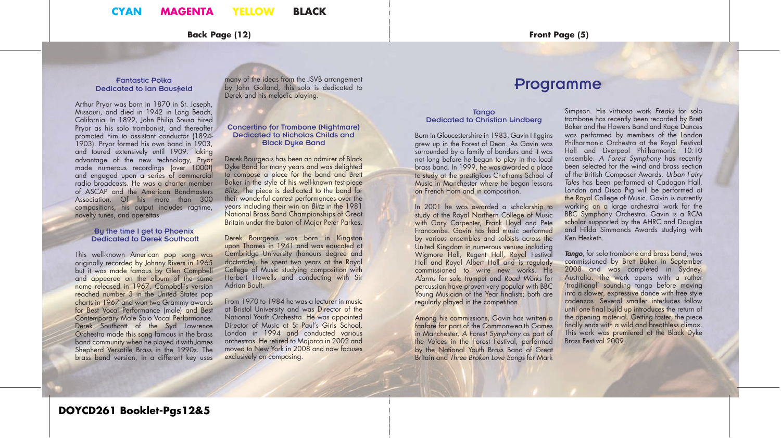### **CYAN MAGENTA YELLOW BLACK**

**Back Page (12) Front Page (5)**

#### Fantastic Polka Dedicated to Ian Bousfield

Arthur Pryor was born in 1870 in St. Joseph, Missouri, and died in 1942 in Long Beach, California. In 1892, John Philip Sousa hired Pryor as his solo trombonist, and thereafter promoted him to assistant conductor (1894- 1903). Pryor formed his own band in 1903, and toured extensively until 1909. Taking advantage of the new technology, Pryor made numerous recordings (over 1000!) and engaged upon a series of commercial radio broadcasts. He was a charter member of ASCAP and the American Bandmasters Association. Of his more than 300 compositions, his output includes ragtime, novelty tunes, and operettas.

#### By the time I get to Phoenix Dedicated to Derek Southcott

This well-known American pop song was originally recorded by Johnny Rivers in 1965 but it was made famous by Glen Campbell and appeared on the album of the same name released in 1967. Campbell's version reached number 3 in the United States pop charts in 1967 and won two Grammy awards for Best Vocal Performance (male) and Best Contemporary Male Solo Vocal Performance. Derek Southcott of the Syd Lawrence Orchestra made this song famous in the brass band community when he played it with James Shepherd Versatile Brass in the 1990s. The brass band version, in a different key uses

many of the ideas from the JSVB arrangement by John Golland, this solo is dedicated to Derek and his melodic playing.

### Concertino for Trombone (Nightmare) Dedicated to Nicholas Childs and Black Dyke Band

Derek Bourgeois has been an admirer of Black Dyke Band for many years and was delighted to compose a piece for the band and Brett Baker in the style of his well-known test-piece *Blitz.* The piece is dedicated to the band for their wonderful contest performances over the years including their win on *Blitz* in the 1981 National Brass Band Championships of Great Britain under the baton of Major Peter Parkes.

Derek Bourgeois was born in Kingston upon Thames in 1941 and was educated at Cambridge University (honours degree and doctorate), he spent two years at the Royal College of Music studying composition with Herbert Howells and conducting with Sir Adrian Boult.

From 1970 to 1984 he was a lecturer in music at Bristol University and was Director of the National Youth Orchestra. He was appointed Director of Music at St Paul's Girls School, London in 1994 and conducted various orchestras. He retired to Majorca in 2002 and moved to New York in 2008 and now focuses exclusively on composing.

## Programme

#### **Tango** Dedicated to Christian Lindberg

Born in Gloucestershire in 1983, Gavin Higgins grew up in the Forest of Dean. As Gavin was surrounded by a family of banders and it was not long before he began to play in the local brass band. In 1999, he was awarded a place to study at the prestigious Chethams School of Music in Manchester where he began lessons on French Horn and in composition.

In 2001 he was awarded a scholarship to study at the Royal Northern College of Music with Gary Carpenter, Frank Lloyd and Pete Francombe. Gavin has had music performed by various ensembles and soloists across the United Kingdom in numerous venues including Wigmore Hall, Regent Hall, Royal Festival Hall and Royal Albert Hall and is regularly commissioned to write new works. His *Alarms* for solo trumpet and *Road Works* for percussion have proven very popular with BBC Young Musician of the Year finalists; both are regularly played in the competition.

Among his commissions, Gavin has written a fanfare for part of the Commonwealth Games in Manchester, *A Forest Symphony* as part of the Voices in the Forest Festival, performed by the National Youth Brass Band of Great Britain and *Three Broken Love Songs* for Mark

Simpson. His virtuoso work *Freaks* for solo trombone has recently been recorded by Brett Baker and the Flowers Band and Rage Dances was performed by members of the London Philharmonic Orchestra at the Royal Festival Hall and Liverpool Philharmonic 10:10 ensemble. *A Forest Symphony* has recently been selected for the wind and brass section of the British Composer Awards. *Urban Fairy Tales* has been performed at Cadogan Hall, London and Disco Pig will be performed at the Royal College of Music. Gavin is currently working on a large orchestral work for the BBC Symphony Orchestra. Gavin is a RCM scholar supported by the AHRC and Douglas and Hilda Simmonds Awards studying with Ken Hesketh.

*Tango*, for solo trombone and brass band, was commissioned by Brett Baker in September 2008 and was completed in Sydney, Australia. The work opens with a rather 'traditional' sounding tango before moving into a slower, expressive dance with free style cadenzas. Several smaller interludes follow until one final build up introduces the return of the opening material. Getting faster, the piece finally ends with a wild and breathless climax. This work was premiered at the Black Dyke Brass Festival 2009.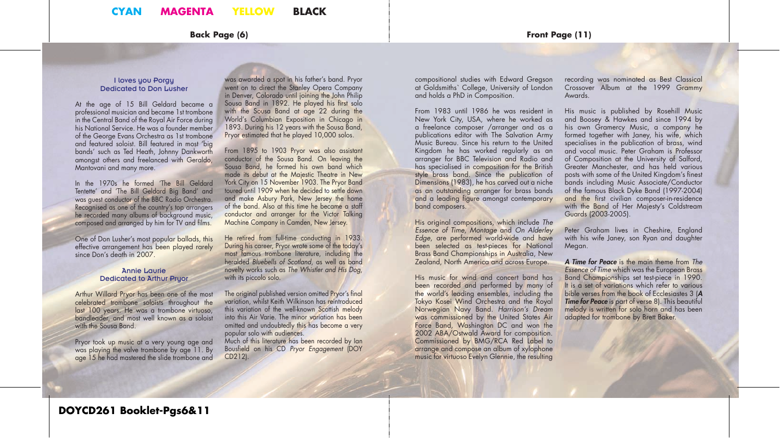### I loves you Porgy Dedicated to Don Lusher

At the age of 15 Bill Geldard became a professional musician and became 1st trombone in the Central Band of the Royal Air Force during his National Service. He was a founder member of the George Evans Orchestra as 1st trombone and featured soloist. Bill featured in most 'big bands' such as Ted Heath, Johnny Dankworth amongst others and freelanced with Geraldo, Mantovani and many more.

In the 1970s he formed 'The Bill Geldard Tentette' and 'The Bill Geldard Big Band' and was guest conductor of the BBC Radio Orchestra. Recognised as one of the country's top arrangers he recorded many albums of background music, composed and arranged by him for TV and films.

One of Don Lusher's most popular ballads, this effective arrangement has been played rarely since Don's death in 2007.

### Annie Laurie Dedicated to Arthur Pryor

Arthur Willard Pryor has been one of the most celebrated trombone soloists throughout the last 100 years. He was a trombone virtuoso, bandleader, and most well known as a soloist with the Sousa Band.

Pryor took up music at a very young age and was playing the valve trombone by age 11. By age 15 he had mastered the slide trombone and was awarded a spot in his father's band. Pryor went on to direct the Stanley Opera Company in Denver, Colorado until joining the John Philip Sousa Band in 1892. He played his first solo with the Sousa Band at age 22 during the World's Columbian Exposition in Chicago in 1893. During his 12 years with the Sousa Band, Pryor estimated that he played 10,000 solos.

From 1895 to 1903 Pryor was also assistant conductor of the Sousa Band. On leaving the Sousa Band, he formed his own band which made its debut at the Majestic Theatre in New York City on 15 November 1903. The Pryor Band toured until 1909 when he decided to settle down and make Asbury Park, New Jersey the home of the band. Also at this time he became a staff conductor and arranger for the Victor Talking Machine Company in Camden, New Jersey.

He retired from full-time conducting in 1933. During his career, Pryor wrote some of the today's most famous trombone literature, including the heralded *Bluebells of Scotland*, as well as band novelty works such as *The Whistler and His Dog*, with its piccolo solo.

The original published version omitted Pryor's final variation, whilst Keith Wilkinson has reintroduced this variation of the well-known Scottish melody into this Air Varie. The minor variation has been omitted and undoubtedly this has become a very popular solo with audiences.

Much of this literature has been recorded by Ian Bousfi eld on his CD *Pryor Engagement* (DOY CD212).

compositional studies with Edward Gregson at Goldsmiths` College, University of London and holds a PhD in Composition.

From 1983 until 1986 he was resident in New York City, USA, where he worked as a freelance composer /arranger and as a publications editor with The Salvation Army Music Bureau. Since his return to the United Kingdom he has worked regularly as an arranger for BBC Television and Radio and has specialised in composition for the British style brass band. Since the publication of Dimensions (1983), he has carved out a niche as an outstanding arranger for brass bands and a leading figure amongst contemporary band composers.

His original compositions, which include *The Essence of Time, Montage* and *On Alderley Edge*, are performed world-wide and have been selected as test-pieces for National Brass Band Championships in Australia, New Zealand, North America and across Europe.

His music for wind and concert band has been recorded and performed by many of the world's leading ensembles, including the Tokyo Kosei Wind Orchestra and the Royal Norwegian Navy Band. *Harrison's Dream*  was commissioned by the United States Air Force Band, Washington DC and won the 2002 ABA/Ostwald Award for composition. Commissioned by BMG/RCA Red Label to arrange and compose an album of xylophone music for virtuoso Evelyn Glennie, the resulting

recording was nominated as Best Classical Crossover Album at the 1999 Grammy Awards.

His music is published by Rosehill Music and Boosey & Hawkes and since 1994 by his own Gramercy Music, a company he formed together with Janey, his wife, which specialises in the publication of brass, wind and vocal music. Peter Graham is Professor of Composition at the University of Salford, Greater Manchester, and has held various posts with some of the United Kingdom's finest bands including Music Associate/Conductor of the famous Black Dyke Band (1997-2004) and the first civilian composer-in-residence with the Band of Her Majesty's Coldstream Guards (2003-2005).

Peter Graham lives in Cheshire, England with his wife Janey, son Ryan and daughter Megan.

*A Time for Peace* is the main theme from *The Essence of Time* which was the European Brass Band Championships set test-piece in 1990. It is a set of variations which refer to various bible verses from the book of Ecclesiastes 3 (*A Time for Peace* is part of verse 8). This beautiful melody is written for solo horn and has been adapted for trombone by Brett Baker.

**DOYCD261 Booklet-Pgs6&11**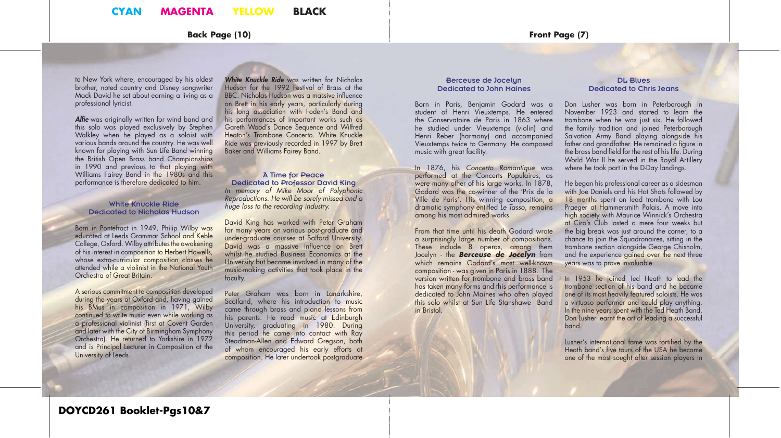**Back Page (10) Front Page (7)**

to New York where, encouraged by his oldest brother, noted country and Disney songwriter Mack David he set about earning a living as a professional lyricist.

Alfie was originally written for wind band and this solo was played exclusively by Stephen Walkley when he played as a soloist with various bands around the country. He was well known for playing with Sun Life Band winning the British Open Brass band Championships in 1990 and previous to that playing with Williams Fairey Band in the 1980s and this performance is therefore dedicated to him.

### White Knuckle Ride Dedicated to Nicholas Hudson

Born in Pontefract in 1949, Philip Wilby was educated at Leeds Grammar School and Keble College, Oxford. Wilby attributes the awakening of his interest in composition to Herbert Howells, whose extra-curricular composition classes he attended while a violinist in the National Youth Orchestra of Great Britain.

A serious commitment to composition developed during the years at Oxford and, having gained his BMus in composition in 1971, Wilby continued to write music even while working as a professional violinist (first at Covent Garden and later with the City of Birmingham Symphony Orchestra). He returned to Yorkshire in 1972 and is Principal Lecturer in Composition at the University of Leeds.

*White Knuckle Ride* was written for Nicholas Hudson for the 1992 Festival of Brass at the BBC. Nicholas Hudson was a massive influence on Brett in his early years, particularly during his long association with Foden's Band and his performances of important works such as Gareth Wood's Dance Sequence and Wilfred Heaton's Trombone Concerto. White Knuckle Ride was previously recorded in 1997 by Brett Baker and Williams Fairey Band.

### A Time for Peace Dedicated to Professor David King *In memory of Mike Moor of Polyphonic Reproductions. He will be sorely missed and a huge loss to the recording industry.*

David King has worked with Peter Graham for many years on various post-graduate and under-graduate courses at Salford University. David was a massive influence on Brett whilst he studied Business Economics at the University but became involved in many of the music-making activities that took place in the faculty.

Peter Graham was born in Lanarkshire, Scotland, where his introduction to music came through brass and piano lessons from his parents. He read music at Edinburgh University, graduating in 1980. During this period he came into contact with Ray Steadman-Allen and Edward Gregson, both of whom encouraged his early efforts at composition. He later undertook postgraduate

#### Berceuse de Jocelyn Dedicated to John Maines

Born in Paris, Benjamin Godard was a student of Henri Vieuxtemps. He entered the Conservatoire de Paris in 1863 where he studied under Vieuxtemps (violin) and Henri Reber (harmony) and accompanied Vieuxtemps twice to Germany. He composed music with great facility.

In 1876, his *Concerto Romantique* was performed at the Concerts Populaires, as were many other of his large works. In 1878, Godard was the co-winner of the 'Prix de la Ville de Paris'. His winning composition, a dramatic symphony entitled *Le Tasso*, remains among his most admired works.

From that time until his death Godard wrote a surprisingly large number of compositions. These include 8 operas, among them Jocelyn - the *Berceuse de Jocelyn* from which remains Godard's most well-known composition - was given in Paris in 1888. The version written for trombone and brass band has taken many forms and this performance is dedicated to John Maines who often played this solo whilst at Sun Life Stanshawe Band in Bristol.

### DL Blues Dedicated to Chris Jeans

Don Lusher was born in Peterborough in November 1923 and started to learn the trombone when he was just six. He followed the family tradition and joined Peterborough Salvation Army Band playing alongside his father and grandfather. He remained a figure in the brass band field for the rest of his life. During World War II he served in the Royal Artillery where he took part in the D-Day landings.

He began his professional career as a sidesman with Joe Daniels and his Hot Shots followed by 18 months spent on lead trombone with Lou Praeger at Hammersmith Palais. A move into high society with Maurice Winnick's Orchestra at Ciro's Club lasted a mere four weeks but the big break was just around the corner, to a chance to join the Squadronaires, sitting in the trombone section alongside George Chisholm, and the experience gained over the next three years was to prove invaluable.

In 1953 he joined Ted Heath to lead the trombone section of his band and he became one of its most heavily featured soloists. He was a virtuoso performer and could play anything. In the nine years spent with the Ted Heath Band, Don Lusher learnt the art of leading a successful band.

Lusher's international fame was fortified by the Heath band's five tours of the USA he became one of the most sought after session players in

### **DOYCD261 Booklet-Pgs10&7**